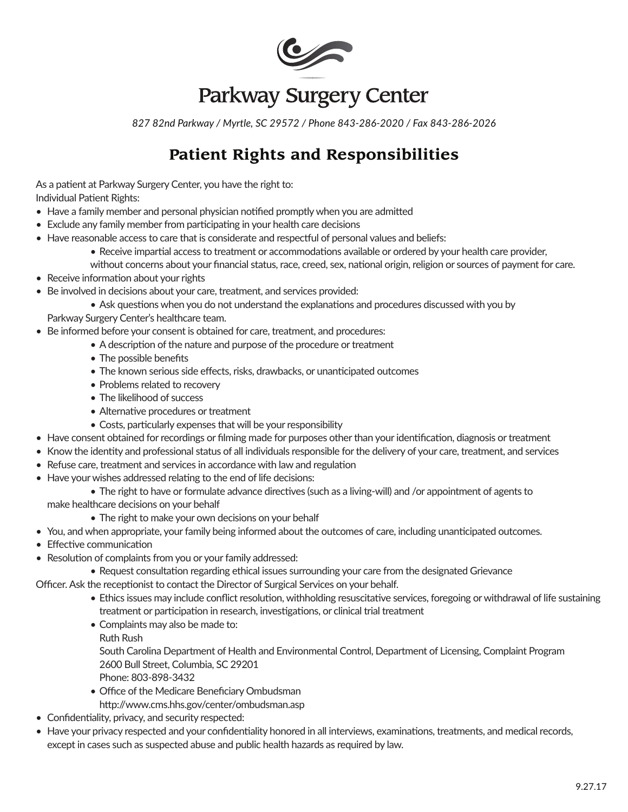

# Parkway Surgery Center

*827 82nd Parkway / Myrtle, SC 29572 / Phone 843-286-2020 / Fax 843-286-2026*

### **Patient Rights and Responsibilities**

As a patient at Parkway Surgery Center, you have the right to: Individual Patient Rights:

- Have a family member and personal physician notified promptly when you are admitted
- Exclude any family member from participating in your health care decisions
- Have reasonable access to care that is considerate and respectful of personal values and beliefs:
	- Receive impartial access to treatment or accommodations available or ordered by your health care provider,
	- without concerns about your financial status, race, creed, sex, national origin, religion or sources of payment for care.
- Receive information about your rights
- Be involved in decisions about your care, treatment, and services provided:
	- Ask questions when you do not understand the explanations and procedures discussed with you by

Parkway Surgery Center's healthcare team.

- Be informed before your consent is obtained for care, treatment, and procedures:
	- A description of the nature and purpose of the procedure or treatment
	- The possible benefits
	- The known serious side effects, risks, drawbacks, or unanticipated outcomes
	- Problems related to recovery
	- The likelihood of success
	- Alternative procedures or treatment
	- Costs, particularly expenses that will be your responsibility
- Have consent obtained for recordings or filming made for purposes other than your identification, diagnosis or treatment
- Know the identity and professional status of all individuals responsible for the delivery of your care, treatment, and services
- Refuse care, treatment and services in accordance with law and regulation
- Have your wishes addressed relating to the end of life decisions:
	- The right to have or formulate advance directives (such as a living-will) and /or appointment of agents to

make healthcare decisions on your behalf

- The right to make your own decisions on your behalf
- You, and when appropriate, your family being informed about the outcomes of care, including unanticipated outcomes.
- Effective communication
- Resolution of complaints from you or your family addressed:
	- Request consultation regarding ethical issues surrounding your care from the designated Grievance

Officer. Ask the receptionist to contact the Director of Surgical Services on your behalf.

- Ethics issues may include conflict resolution, withholding resuscitative services, foregoing or withdrawal of life sustaining treatment or participation in research, investigations, or clinical trial treatment
- Complaints may also be made to:
	- Ruth Rush

South Carolina Department of Health and Environmental Control, Department of Licensing, Complaint Program 2600 Bull Street, Columbia, SC 29201

- Phone: 803-898-3432
- Office of the Medicare Beneficiary Ombudsman
- http://www.cms.hhs.gov/center/ombudsman.asp
- Confidentiality, privacy, and security respected:
- Have your privacy respected and your confidentiality honored in all interviews, examinations, treatments, and medical records, except in cases such as suspected abuse and public health hazards as required by law.